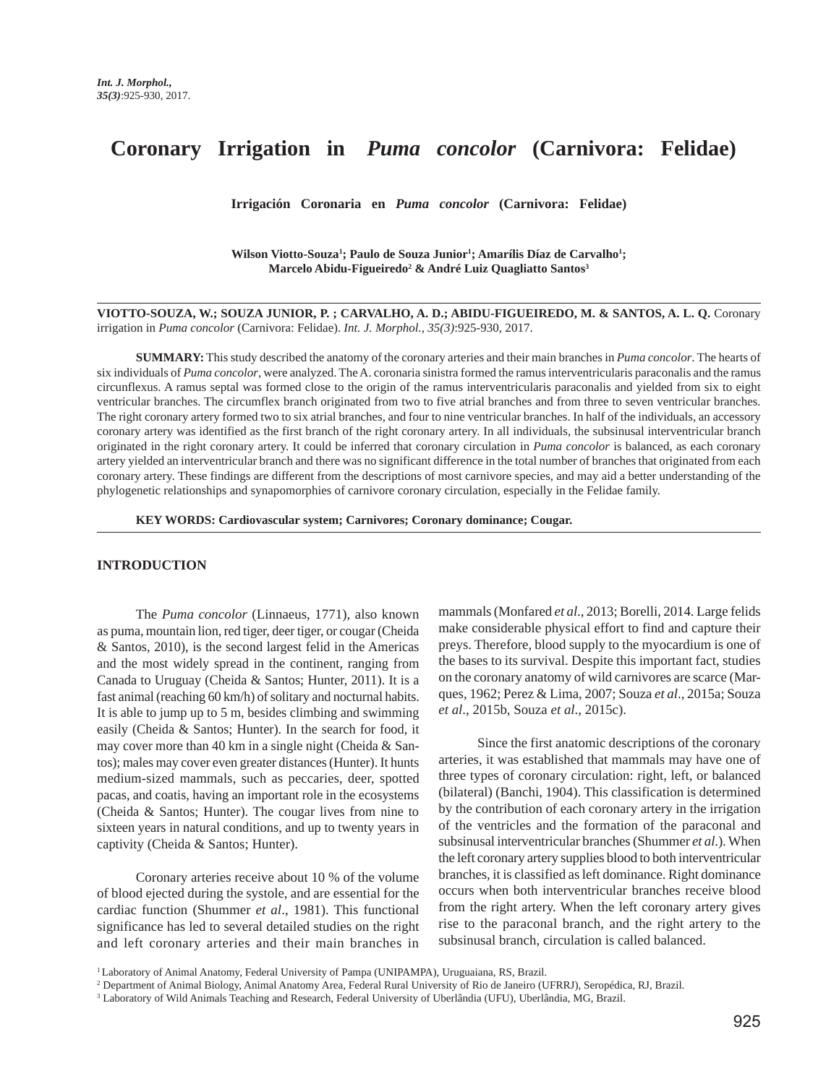# **Coronary Irrigation in** *Puma concolor* **(Carnivora: Felidae)**

 **Irrigación Coronaria en** *Puma concolor* **(Carnivora: Felidae)**

Wilson Viotto-Souza<sup>1</sup>; Paulo de Souza Junior<sup>1</sup>; Amarílis Díaz de Carvalho<sup>1</sup>; **Marcelo Abidu-Figueiredo2 & André Luiz Quagliatto Santos3**

**VIOTTO-SOUZA, W.; SOUZA JUNIOR, P. ; CARVALHO, A. D.; ABIDU-FIGUEIREDO, M. & SANTOS, A. L. Q.** Coronary irrigation in *Puma concolor* (Carnivora: Felidae). *Int. J. Morphol., 35(3)*:925-930, 2017.

**SUMMARY:** This study described the anatomy of the coronary arteries and their main branches in *Puma concolor*. The hearts of six individuals of *Puma concolor*, were analyzed. The A. coronaria sinistra formed the ramus interventricularis paraconalis and the ramus circunflexus. A ramus septal was formed close to the origin of the ramus interventricularis paraconalis and yielded from six to eight ventricular branches. The circumflex branch originated from two to five atrial branches and from three to seven ventricular branches. The right coronary artery formed two to six atrial branches, and four to nine ventricular branches. In half of the individuals, an accessory coronary artery was identified as the first branch of the right coronary artery. In all individuals, the subsinusal interventricular branch originated in the right coronary artery. It could be inferred that coronary circulation in *Puma concolor* is balanced, as each coronary artery yielded an interventricular branch and there was no significant difference in the total number of branches that originated from each coronary artery. These findings are different from the descriptions of most carnivore species, and may aid a better understanding of the phylogenetic relationships and synapomorphies of carnivore coronary circulation, especially in the Felidae family.

**KEY WORDS: Cardiovascular system; Carnivores; Coronary dominance; Cougar.**

## **INTRODUCTION**

The *Puma concolor* (Linnaeus, 1771), also known as puma, mountain lion, red tiger, deer tiger, or cougar (Cheida & Santos, 2010), is the second largest felid in the Americas and the most widely spread in the continent, ranging from Canada to Uruguay (Cheida & Santos; Hunter, 2011). It is a fast animal (reaching 60 km/h) of solitary and nocturnal habits. It is able to jump up to 5 m, besides climbing and swimming easily (Cheida & Santos; Hunter). In the search for food, it may cover more than 40 km in a single night (Cheida & Santos); males may cover even greater distances (Hunter). It hunts medium-sized mammals, such as peccaries, deer, spotted pacas, and coatis, having an important role in the ecosystems (Cheida & Santos; Hunter). The cougar lives from nine to sixteen years in natural conditions, and up to twenty years in captivity (Cheida & Santos; Hunter).

Coronary arteries receive about 10 % of the volume of blood ejected during the systole, and are essential for the cardiac function (Shummer *et al*., 1981). This functional significance has led to several detailed studies on the right and left coronary arteries and their main branches in mammals (Monfared *et al*., 2013; Borelli, 2014. Large felids make considerable physical effort to find and capture their preys. Therefore, blood supply to the myocardium is one of the bases to its survival. Despite this important fact, studies on the coronary anatomy of wild carnivores are scarce (Marques, 1962; Perez & Lima, 2007; Souza *et al*., 2015a; Souza *et al*., 2015b, Souza *et al*., 2015c).

Since the first anatomic descriptions of the coronary arteries, it was established that mammals may have one of three types of coronary circulation: right, left, or balanced (bilateral) (Banchi, 1904). This classification is determined by the contribution of each coronary artery in the irrigation of the ventricles and the formation of the paraconal and subsinusal interventricular branches (Shummer *et al*.). When the left coronary artery supplies blood to both interventricular branches, it is classified as left dominance. Right dominance occurs when both interventricular branches receive blood from the right artery. When the left coronary artery gives rise to the paraconal branch, and the right artery to the subsinusal branch, circulation is called balanced.

<sup>1</sup> Laboratory of Animal Anatomy, Federal University of Pampa (UNIPAMPA), Uruguaiana, RS, Brazil.

<sup>2</sup> Department of Animal Biology, Animal Anatomy Area, Federal Rural University of Rio de Janeiro (UFRRJ), Seropédica, RJ, Brazil.

<sup>3</sup> Laboratory of Wild Animals Teaching and Research, Federal University of Uberlândia (UFU), Uberlândia, MG, Brazil.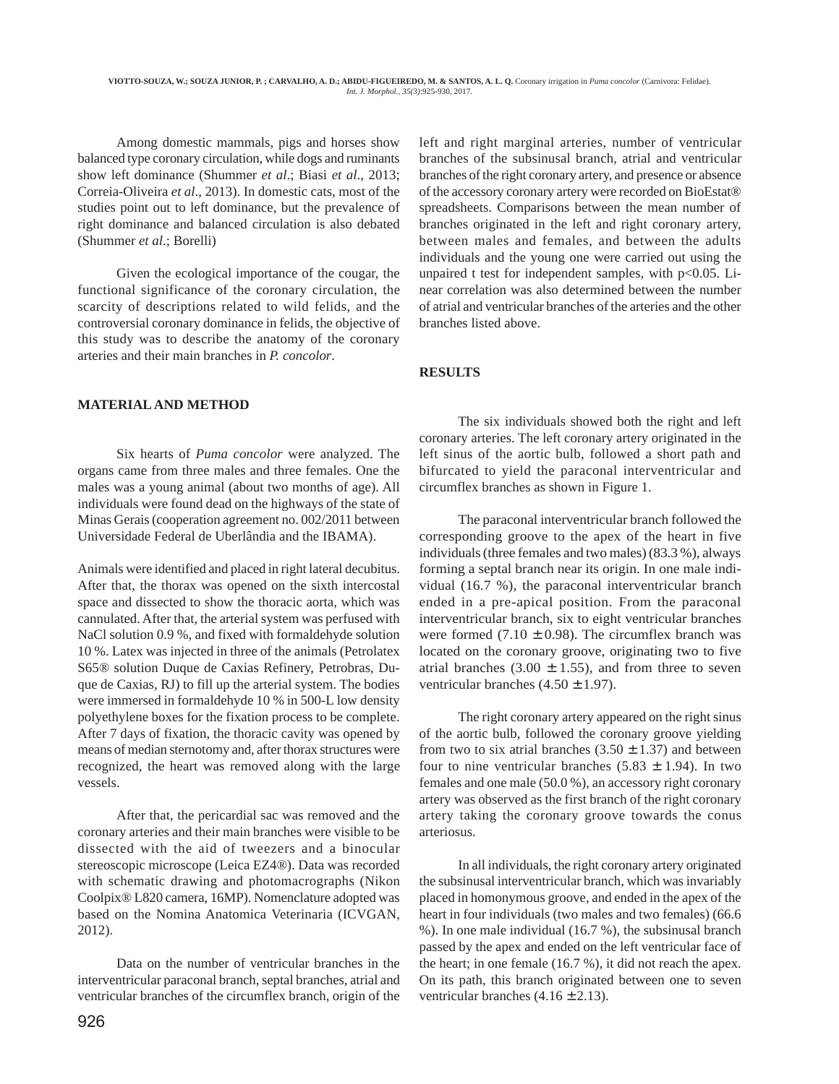Among domestic mammals, pigs and horses show balanced type coronary circulation, while dogs and ruminants show left dominance (Shummer *et al*.; Biasi *et al*., 2013; Correia-Oliveira *et al*., 2013). In domestic cats, most of the studies point out to left dominance, but the prevalence of right dominance and balanced circulation is also debated (Shummer *et al*.; Borelli)

Given the ecological importance of the cougar, the functional significance of the coronary circulation, the scarcity of descriptions related to wild felids, and the controversial coronary dominance in felids, the objective of this study was to describe the anatomy of the coronary arteries and their main branches in *P. concolor*.

## **MATERIAL AND METHOD**

Six hearts of *Puma concolor* were analyzed. The organs came from three males and three females. One the males was a young animal (about two months of age). All individuals were found dead on the highways of the state of Minas Gerais (cooperation agreement no. 002/2011 between Universidade Federal de Uberlândia and the IBAMA).

Animals were identified and placed in right lateral decubitus. After that, the thorax was opened on the sixth intercostal space and dissected to show the thoracic aorta, which was cannulated. After that, the arterial system was perfused with NaCl solution 0.9 %, and fixed with formaldehyde solution 10 %. Latex was injected in three of the animals (Petrolatex S65® solution Duque de Caxias Refinery, Petrobras, Duque de Caxias, RJ) to fill up the arterial system. The bodies were immersed in formaldehyde 10 % in 500-L low density polyethylene boxes for the fixation process to be complete. After 7 days of fixation, the thoracic cavity was opened by means of median sternotomy and, after thorax structures were recognized, the heart was removed along with the large vessels.

After that, the pericardial sac was removed and the coronary arteries and their main branches were visible to be dissected with the aid of tweezers and a binocular stereoscopic microscope (Leica EZ4®). Data was recorded with schematic drawing and photomacrographs (Nikon Coolpix® L820 camera, 16MP). Nomenclature adopted was based on the Nomina Anatomica Veterinaria (ICVGAN, 2012).

Data on the number of ventricular branches in the interventricular paraconal branch, septal branches, atrial and ventricular branches of the circumflex branch, origin of the

left and right marginal arteries, number of ventricular branches of the subsinusal branch, atrial and ventricular branches of the right coronary artery, and presence or absence of the accessory coronary artery were recorded on BioEstat® spreadsheets. Comparisons between the mean number of branches originated in the left and right coronary artery, between males and females, and between the adults individuals and the young one were carried out using the unpaired t test for independent samples, with  $p<0.05$ . Linear correlation was also determined between the number of atrial and ventricular branches of the arteries and the other branches listed above.

### **RESULTS**

The six individuals showed both the right and left coronary arteries. The left coronary artery originated in the left sinus of the aortic bulb, followed a short path and bifurcated to yield the paraconal interventricular and circumflex branches as shown in Figure 1.

The paraconal interventricular branch followed the corresponding groove to the apex of the heart in five individuals (three females and two males) (83.3 %), always forming a septal branch near its origin. In one male individual (16.7 %), the paraconal interventricular branch ended in a pre-apical position. From the paraconal interventricular branch, six to eight ventricular branches were formed  $(7.10 \pm 0.98)$ . The circumflex branch was located on the coronary groove, originating two to five atrial branches (3.00  $\pm$  1.55), and from three to seven ventricular branches  $(4.50 \pm 1.97)$ .

The right coronary artery appeared on the right sinus of the aortic bulb, followed the coronary groove yielding from two to six atrial branches  $(3.50 \pm 1.37)$  and between four to nine ventricular branches  $(5.83 \pm 1.94)$ . In two females and one male (50.0 %), an accessory right coronary artery was observed as the first branch of the right coronary artery taking the coronary groove towards the conus arteriosus.

In all individuals, the right coronary artery originated the subsinusal interventricular branch, which was invariably placed in homonymous groove, and ended in the apex of the heart in four individuals (two males and two females) (66.6 %). In one male individual (16.7 %), the subsinusal branch passed by the apex and ended on the left ventricular face of the heart; in one female (16.7 %), it did not reach the apex. On its path, this branch originated between one to seven ventricular branches  $(4.16 \pm 2.13)$ .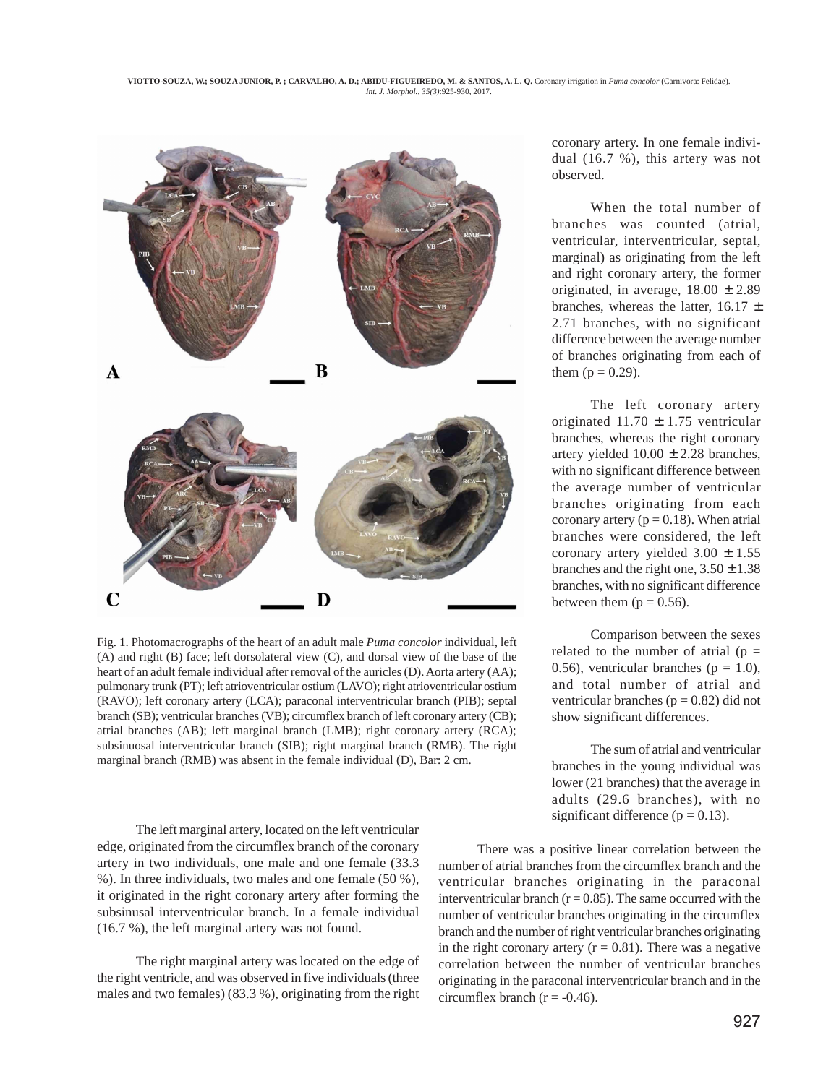

Fig. 1. Photomacrographs of the heart of an adult male *Puma concolor* individual, left (A) and right (B) face; left dorsolateral view (C), and dorsal view of the base of the heart of an adult female individual after removal of the auricles (D). Aorta artery (AA); pulmonary trunk (PT); left atrioventricular ostium (LAVO); right atrioventricular ostium (RAVO); left coronary artery (LCA); paraconal interventricular branch (PIB); septal branch (SB); ventricular branches (VB); circumflex branch of left coronary artery (CB); atrial branches (AB); left marginal branch (LMB); right coronary artery (RCA); subsinuosal interventricular branch (SIB); right marginal branch (RMB). The right marginal branch (RMB) was absent in the female individual (D), Bar: 2 cm.

The left marginal artery, located on the left ventricular edge, originated from the circumflex branch of the coronary artery in two individuals, one male and one female (33.3 %). In three individuals, two males and one female (50 %), it originated in the right coronary artery after forming the subsinusal interventricular branch. In a female individual (16.7 %), the left marginal artery was not found.

The right marginal artery was located on the edge of the right ventricle, and was observed in five individuals (three males and two females) (83.3 %), originating from the right coronary artery. In one female individual (16.7 %), this artery was not observed.

When the total number of branches was counted (atrial, ventricular, interventricular, septal, marginal) as originating from the left and right coronary artery, the former originated, in average,  $18.00 \pm 2.89$ branches, whereas the latter,  $16.17 \pm$ 2.71 branches, with no significant difference between the average number of branches originating from each of them  $(p = 0.29)$ .

The left coronary artery originated  $11.70 \pm 1.75$  ventricular branches, whereas the right coronary artery yielded  $10.00 \pm 2.28$  branches, with no significant difference between the average number of ventricular branches originating from each coronary artery ( $p = 0.18$ ). When atrial branches were considered, the left coronary artery yielded  $3.00 \pm 1.55$ branches and the right one,  $3.50 \pm 1.38$ branches, with no significant difference between them ( $p = 0.56$ ).

Comparison between the sexes related to the number of atrial  $(p =$ 0.56), ventricular branches ( $p = 1.0$ ), and total number of atrial and ventricular branches ( $p = 0.82$ ) did not show significant differences.

The sum of atrial and ventricular branches in the young individual was lower (21 branches) that the average in adults (29.6 branches), with no significant difference ( $p = 0.13$ ).

There was a positive linear correlation between the number of atrial branches from the circumflex branch and the ventricular branches originating in the paraconal interventricular branch ( $r = 0.85$ ). The same occurred with the number of ventricular branches originating in the circumflex branch and the number of right ventricular branches originating in the right coronary artery  $(r = 0.81)$ . There was a negative correlation between the number of ventricular branches originating in the paraconal interventricular branch and in the circumflex branch ( $r = -0.46$ ).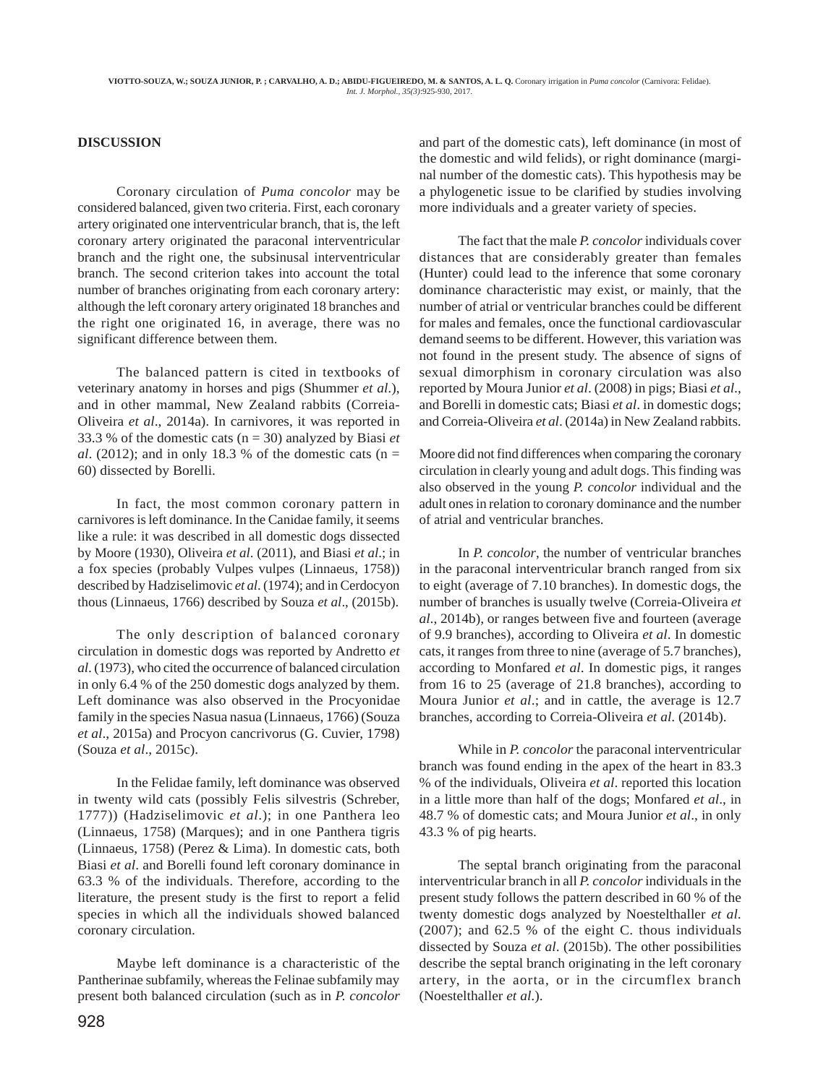### **DISCUSSION**

Coronary circulation of *Puma concolor* may be considered balanced, given two criteria. First, each coronary artery originated one interventricular branch, that is, the left coronary artery originated the paraconal interventricular branch and the right one, the subsinusal interventricular branch. The second criterion takes into account the total number of branches originating from each coronary artery: although the left coronary artery originated 18 branches and the right one originated 16, in average, there was no significant difference between them.

The balanced pattern is cited in textbooks of veterinary anatomy in horses and pigs (Shummer *et al*.), and in other mammal, New Zealand rabbits (Correia-Oliveira *et al*., 2014a). In carnivores, it was reported in 33.3 % of the domestic cats (n = 30) analyzed by Biasi *et al.* (2012); and in only 18.3 % of the domestic cats ( $n =$ 60) dissected by Borelli.

In fact, the most common coronary pattern in carnivores is left dominance. In the Canidae family, it seems like a rule: it was described in all domestic dogs dissected by Moore (1930), Oliveira *et al*. (2011), and Biasi *et al*.; in a fox species (probably Vulpes vulpes (Linnaeus, 1758)) described by Hadziselimovic *et al*. (1974); and in Cerdocyon thous (Linnaeus, 1766) described by Souza *et al*., (2015b).

The only description of balanced coronary circulation in domestic dogs was reported by Andretto *et al*. (1973), who cited the occurrence of balanced circulation in only 6.4 % of the 250 domestic dogs analyzed by them. Left dominance was also observed in the Procyonidae family in the species Nasua nasua (Linnaeus, 1766) (Souza *et al*., 2015a) and Procyon cancrivorus (G. Cuvier, 1798) (Souza *et al*., 2015c).

In the Felidae family, left dominance was observed in twenty wild cats (possibly Felis silvestris (Schreber, 1777)) (Hadziselimovic *et al*.); in one Panthera leo (Linnaeus, 1758) (Marques); and in one Panthera tigris (Linnaeus, 1758) (Perez & Lima). In domestic cats, both Biasi *et al*. and Borelli found left coronary dominance in 63.3 % of the individuals. Therefore, according to the literature, the present study is the first to report a felid species in which all the individuals showed balanced coronary circulation.

Maybe left dominance is a characteristic of the Pantherinae subfamily, whereas the Felinae subfamily may present both balanced circulation (such as in *P. concolor*

928

and part of the domestic cats), left dominance (in most of the domestic and wild felids), or right dominance (marginal number of the domestic cats). This hypothesis may be a phylogenetic issue to be clarified by studies involving more individuals and a greater variety of species.

The fact that the male *P. concolor* individuals cover distances that are considerably greater than females (Hunter) could lead to the inference that some coronary dominance characteristic may exist, or mainly, that the number of atrial or ventricular branches could be different for males and females, once the functional cardiovascular demand seems to be different. However, this variation was not found in the present study. The absence of signs of sexual dimorphism in coronary circulation was also reported by Moura Junior *et al*. (2008) in pigs; Biasi *et al*., and Borelli in domestic cats; Biasi *et al*. in domestic dogs; and Correia-Oliveira *et al*. (2014a) in New Zealand rabbits.

Moore did not find differences when comparing the coronary circulation in clearly young and adult dogs. This finding was also observed in the young *P. concolor* individual and the adult ones in relation to coronary dominance and the number of atrial and ventricular branches.

In *P. concolor*, the number of ventricular branches in the paraconal interventricular branch ranged from six to eight (average of 7.10 branches). In domestic dogs, the number of branches is usually twelve (Correia-Oliveira *et al*., 2014b), or ranges between five and fourteen (average of 9.9 branches), according to Oliveira *et al*. In domestic cats, it ranges from three to nine (average of 5.7 branches), according to Monfared *et al*. In domestic pigs, it ranges from 16 to 25 (average of 21.8 branches), according to Moura Junior *et al*.; and in cattle, the average is 12.7 branches, according to Correia-Oliveira *et al*. (2014b).

While in *P. concolor* the paraconal interventricular branch was found ending in the apex of the heart in 83.3 % of the individuals, Oliveira *et al*. reported this location in a little more than half of the dogs; Monfared *et al*., in 48.7 % of domestic cats; and Moura Junior *et al*., in only 43.3 % of pig hearts.

The septal branch originating from the paraconal interventricular branch in all *P. concolor* individuals in the present study follows the pattern described in 60 % of the twenty domestic dogs analyzed by Noestelthaller *et al*. (2007); and 62.5 % of the eight C. thous individuals dissected by Souza *et al*. (2015b). The other possibilities describe the septal branch originating in the left coronary artery, in the aorta, or in the circumflex branch (Noestelthaller *et al*.).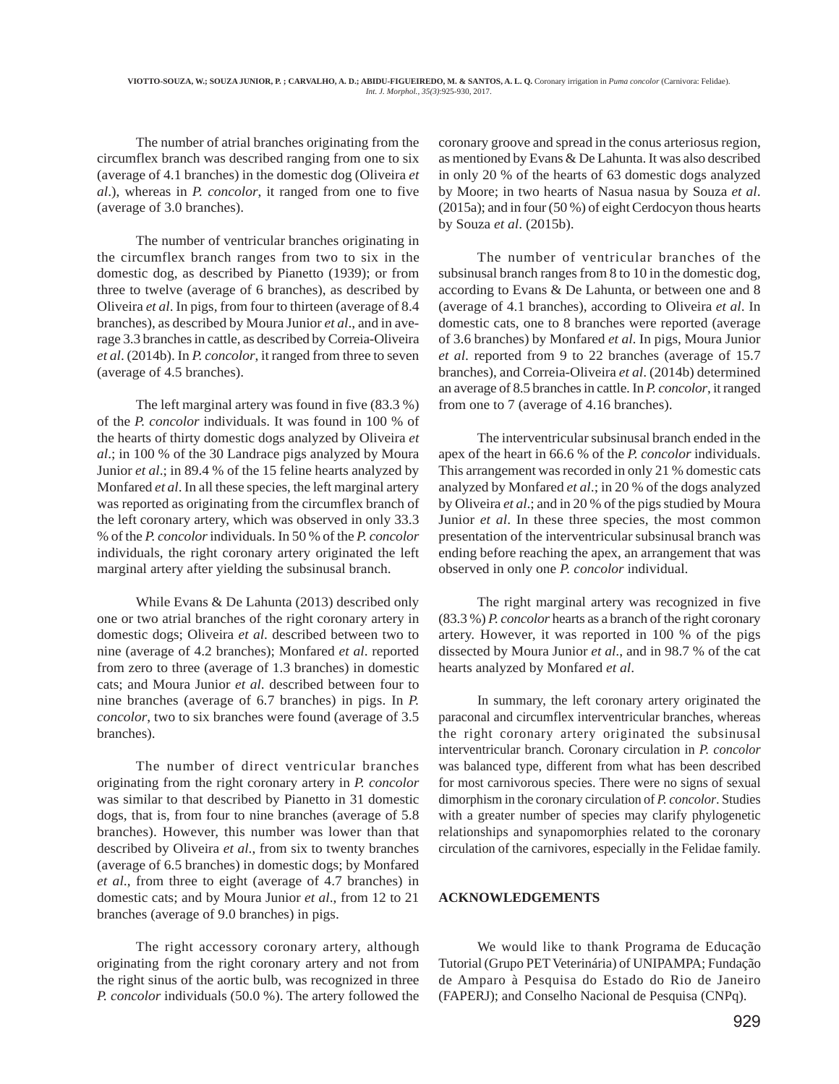The number of atrial branches originating from the circumflex branch was described ranging from one to six (average of 4.1 branches) in the domestic dog (Oliveira *et al*.), whereas in *P. concolor*, it ranged from one to five (average of 3.0 branches).

The number of ventricular branches originating in the circumflex branch ranges from two to six in the domestic dog, as described by Pianetto (1939); or from three to twelve (average of 6 branches), as described by Oliveira *et al*. In pigs, from four to thirteen (average of 8.4 branches), as described by Moura Junior *et al*., and in average 3.3 branches in cattle, as described by Correia-Oliveira *et al*. (2014b). In *P. concolor*, it ranged from three to seven (average of 4.5 branches).

The left marginal artery was found in five (83.3 %) of the *P. concolor* individuals. It was found in 100 % of the hearts of thirty domestic dogs analyzed by Oliveira *et al*.; in 100 % of the 30 Landrace pigs analyzed by Moura Junior *et al*.; in 89.4 % of the 15 feline hearts analyzed by Monfared *et al*. In all these species, the left marginal artery was reported as originating from the circumflex branch of the left coronary artery, which was observed in only 33.3 % of the *P. concolor* individuals. In 50 % of the *P. concolor* individuals, the right coronary artery originated the left marginal artery after yielding the subsinusal branch.

While Evans & De Lahunta (2013) described only one or two atrial branches of the right coronary artery in domestic dogs; Oliveira *et al*. described between two to nine (average of 4.2 branches); Monfared *et al*. reported from zero to three (average of 1.3 branches) in domestic cats; and Moura Junior *et al*. described between four to nine branches (average of 6.7 branches) in pigs. In *P. concolor*, two to six branches were found (average of 3.5 branches).

The number of direct ventricular branches originating from the right coronary artery in *P. concolor* was similar to that described by Pianetto in 31 domestic dogs, that is, from four to nine branches (average of 5.8 branches). However, this number was lower than that described by Oliveira *et al*., from six to twenty branches (average of 6.5 branches) in domestic dogs; by Monfared *et al*., from three to eight (average of 4.7 branches) in domestic cats; and by Moura Junior *et al*., from 12 to 21 branches (average of 9.0 branches) in pigs.

The right accessory coronary artery, although originating from the right coronary artery and not from the right sinus of the aortic bulb, was recognized in three *P. concolor* individuals (50.0 %). The artery followed the

coronary groove and spread in the conus arteriosus region, as mentioned by Evans & De Lahunta. It was also described in only 20 % of the hearts of 63 domestic dogs analyzed by Moore; in two hearts of Nasua nasua by Souza *et al*. (2015a); and in four (50 %) of eight Cerdocyon thous hearts by Souza *et al*. (2015b).

The number of ventricular branches of the subsinusal branch ranges from 8 to 10 in the domestic dog, according to Evans & De Lahunta, or between one and 8 (average of 4.1 branches), according to Oliveira *et al*. In domestic cats, one to 8 branches were reported (average of 3.6 branches) by Monfared *et al*. In pigs, Moura Junior *et al*. reported from 9 to 22 branches (average of 15.7 branches), and Correia-Oliveira *et al*. (2014b) determined an average of 8.5 branches in cattle. In *P. concolor*, it ranged from one to 7 (average of 4.16 branches).

The interventricular subsinusal branch ended in the apex of the heart in 66.6 % of the *P. concolor* individuals. This arrangement was recorded in only 21 % domestic cats analyzed by Monfared *et al*.; in 20 % of the dogs analyzed by Oliveira *et al*.; and in 20 % of the pigs studied by Moura Junior *et al*. In these three species, the most common presentation of the interventricular subsinusal branch was ending before reaching the apex, an arrangement that was observed in only one *P. concolor* individual.

The right marginal artery was recognized in five (83.3 %) *P. concolor* hearts as a branch of the right coronary artery. However, it was reported in 100 % of the pigs dissected by Moura Junior *et al*., and in 98.7 % of the cat hearts analyzed by Monfared *et al*.

In summary, the left coronary artery originated the paraconal and circumflex interventricular branches, whereas the right coronary artery originated the subsinusal interventricular branch. Coronary circulation in *P. concolor* was balanced type, different from what has been described for most carnivorous species. There were no signs of sexual dimorphism in the coronary circulation of *P. concolor*. Studies with a greater number of species may clarify phylogenetic relationships and synapomorphies related to the coronary circulation of the carnivores, especially in the Felidae family.

#### **ACKNOWLEDGEMENTS**

We would like to thank Programa de Educação Tutorial (Grupo PET Veterinária) of UNIPAMPA; Fundação de Amparo à Pesquisa do Estado do Rio de Janeiro (FAPERJ); and Conselho Nacional de Pesquisa (CNPq).